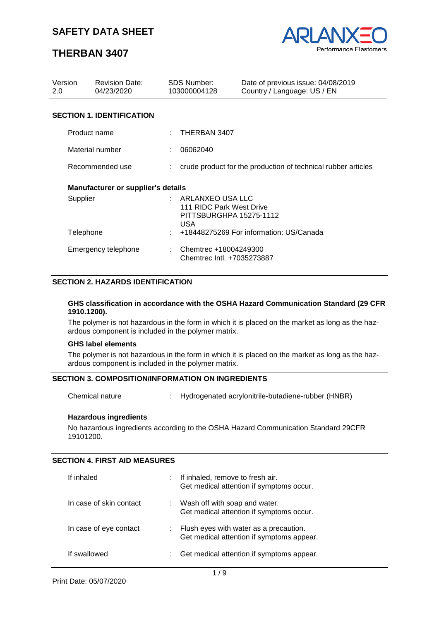

# **THERBAN 3407**

| Version<br>2.0                   |                                           | <b>Revision Date:</b><br>04/23/2020 | <b>SDS Number:</b><br>103000004128                                                                                             | Date of previous issue: 04/08/2019<br>Country / Language: US / EN |
|----------------------------------|-------------------------------------------|-------------------------------------|--------------------------------------------------------------------------------------------------------------------------------|-------------------------------------------------------------------|
| <b>SECTION 1. IDENTIFICATION</b> |                                           |                                     |                                                                                                                                |                                                                   |
|                                  | Product name                              |                                     | THERBAN 3407                                                                                                                   |                                                                   |
|                                  | Material number                           |                                     | 06062040                                                                                                                       |                                                                   |
|                                  | Recommended use                           |                                     |                                                                                                                                | crude product for the production of technical rubber articles     |
|                                  | <b>Manufacturer or supplier's details</b> |                                     |                                                                                                                                |                                                                   |
|                                  | Supplier<br>Telephone                     |                                     | $:$ ARLANXEO USA LLC<br>111 RIDC Park West Drive<br>PITTSBURGHPA 15275-1112<br>USA.<br>+18448275269 For information: US/Canada |                                                                   |
|                                  | Emergency telephone                       |                                     | Chemtrec +18004249300<br>Chemtrec Intl. +7035273887                                                                            |                                                                   |

#### **SECTION 2. HAZARDS IDENTIFICATION**

#### **GHS classification in accordance with the OSHA Hazard Communication Standard (29 CFR 1910.1200).**

The polymer is not hazardous in the form in which it is placed on the market as long as the hazardous component is included in the polymer matrix.

#### **GHS label elements**

The polymer is not hazardous in the form in which it is placed on the market as long as the hazardous component is included in the polymer matrix.

## **SECTION 3. COMPOSITION/INFORMATION ON INGREDIENTS**

Chemical nature : Hydrogenated acrylonitrile-butadiene-rubber (HNBR)

#### **Hazardous ingredients**

No hazardous ingredients according to the OSHA Hazard Communication Standard 29CFR 19101200.

#### **SECTION 4. FIRST AID MEASURES**

| If inhaled              | If inhaled, remove to fresh air.<br>Get medical attention if symptoms occur.        |
|-------------------------|-------------------------------------------------------------------------------------|
| In case of skin contact | Wash off with soap and water.<br>Get medical attention if symptoms occur.           |
| In case of eye contact  | Flush eyes with water as a precaution.<br>Get medical attention if symptoms appear. |
| If swallowed            | Get medical attention if symptoms appear.                                           |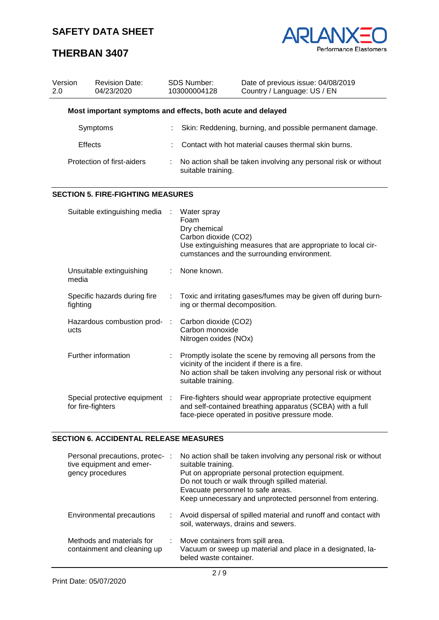

# **THERBAN 3407**

| Version<br>2.0 |                                                                                 | <b>Revision Date:</b><br>04/23/2020                         |           | SDS Number:<br>103000004128                                                                                                                                               | Date of previous issue: 04/08/2019<br>Country / Language: US / EN                                                                                                              |  |
|----------------|---------------------------------------------------------------------------------|-------------------------------------------------------------|-----------|---------------------------------------------------------------------------------------------------------------------------------------------------------------------------|--------------------------------------------------------------------------------------------------------------------------------------------------------------------------------|--|
|                |                                                                                 | Most important symptoms and effects, both acute and delayed |           |                                                                                                                                                                           |                                                                                                                                                                                |  |
|                |                                                                                 | Symptoms                                                    |           | Skin: Reddening, burning, and possible permanent damage.                                                                                                                  |                                                                                                                                                                                |  |
|                | <b>Effects</b>                                                                  |                                                             |           |                                                                                                                                                                           | Contact with hot material causes thermal skin burns.                                                                                                                           |  |
|                |                                                                                 | Protection of first-aiders                                  |           | No action shall be taken involving any personal risk or without<br>suitable training.                                                                                     |                                                                                                                                                                                |  |
|                |                                                                                 | <b>SECTION 5. FIRE-FIGHTING MEASURES</b>                    |           |                                                                                                                                                                           |                                                                                                                                                                                |  |
|                |                                                                                 | Suitable extinguishing media                                |           | Water spray<br>Foam<br>Dry chemical<br>Carbon dioxide (CO2)                                                                                                               | Use extinguishing measures that are appropriate to local cir-<br>cumstances and the surrounding environment.                                                                   |  |
|                | Unsuitable extinguishing<br>media<br>Specific hazards during fire<br>fighting   |                                                             |           | None known.                                                                                                                                                               |                                                                                                                                                                                |  |
|                |                                                                                 |                                                             |           | ing or thermal decomposition.                                                                                                                                             | Toxic and irritating gases/fumes may be given off during burn-                                                                                                                 |  |
|                | Hazardous combustion prod-<br>ucts                                              |                                                             | $\cdot$ : | Carbon dioxide (CO2)<br>Carbon monoxide<br>Nitrogen oxides (NOx)                                                                                                          |                                                                                                                                                                                |  |
|                | Further information<br>Special protective equipment :<br>for fire-fighters      |                                                             |           | suitable training.                                                                                                                                                        | Promptly isolate the scene by removing all persons from the<br>vicinity of the incident if there is a fire.<br>No action shall be taken involving any personal risk or without |  |
|                |                                                                                 |                                                             |           | Fire-fighters should wear appropriate protective equipment<br>and self-contained breathing apparatus (SCBA) with a full<br>face-piece operated in positive pressure mode. |                                                                                                                                                                                |  |
|                |                                                                                 | <b>SECTION 6. ACCIDENTAL RELEASE MEASURES</b>               |           |                                                                                                                                                                           |                                                                                                                                                                                |  |
|                | Personal precautions, protec- :<br>tive equipment and emer-<br>dency procedures |                                                             |           | suitable training.                                                                                                                                                        | No action shall be taken involving any personal risk or without<br>Put on appropriate personal protection equipment                                                            |  |

| $\frac{1}{2}$<br>gency procedures                        |    | <u>ounapio numiniu.</u><br>Put on appropriate personal protection equipment.<br>Do not touch or walk through spilled material.<br>Evacuate personnel to safe areas.<br>Keep unnecessary and unprotected personnel from entering. |
|----------------------------------------------------------|----|----------------------------------------------------------------------------------------------------------------------------------------------------------------------------------------------------------------------------------|
| Environmental precautions                                | ÷. | Avoid dispersal of spilled material and runoff and contact with<br>soil, waterways, drains and sewers.                                                                                                                           |
| Methods and materials for<br>containment and cleaning up |    | Move containers from spill area.<br>Vacuum or sweep up material and place in a designated, la-<br>beled waste container.                                                                                                         |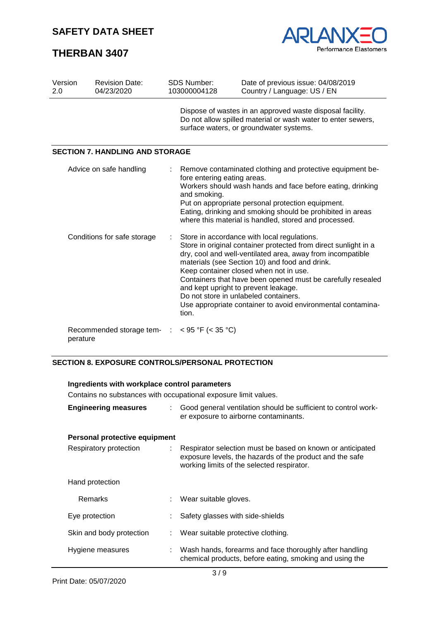# **THERBAN 3407**



| Version<br>2.0              | <b>Revision Date:</b><br>04/23/2020    | <b>SDS Number:</b><br>103000004128          | Date of previous issue: 04/08/2019<br>Country / Language: US / EN                                                                                                                                                                                                                                                                                                                                                                                                                       |
|-----------------------------|----------------------------------------|---------------------------------------------|-----------------------------------------------------------------------------------------------------------------------------------------------------------------------------------------------------------------------------------------------------------------------------------------------------------------------------------------------------------------------------------------------------------------------------------------------------------------------------------------|
|                             |                                        |                                             | Dispose of wastes in an approved waste disposal facility.<br>Do not allow spilled material or wash water to enter sewers,<br>surface waters, or groundwater systems.                                                                                                                                                                                                                                                                                                                    |
|                             | <b>SECTION 7. HANDLING AND STORAGE</b> |                                             |                                                                                                                                                                                                                                                                                                                                                                                                                                                                                         |
|                             | Advice on safe handling                | fore entering eating areas.<br>and smoking. | Remove contaminated clothing and protective equipment be-<br>Workers should wash hands and face before eating, drinking<br>Put on appropriate personal protection equipment.<br>Eating, drinking and smoking should be prohibited in areas<br>where this material is handled, stored and processed.                                                                                                                                                                                     |
| Conditions for safe storage |                                        | tion.                                       | Store in accordance with local regulations.<br>Store in original container protected from direct sunlight in a<br>dry, cool and well-ventilated area, away from incompatible<br>materials (see Section 10) and food and drink.<br>Keep container closed when not in use.<br>Containers that have been opened must be carefully resealed<br>and kept upright to prevent leakage.<br>Do not store in unlabeled containers.<br>Use appropriate container to avoid environmental contamina- |
| perature                    | Recommended storage tem-               | $<$ 95 °F ( $<$ 35 °C)                      |                                                                                                                                                                                                                                                                                                                                                                                                                                                                                         |

#### **SECTION 8. EXPOSURE CONTROLS/PERSONAL PROTECTION**

## **Ingredients with workplace control parameters**

Contains no substances with occupational exposure limit values.

| <b>Engineering measures</b>   | Good general ventilation should be sufficient to control work-<br>er exposure to airborne contaminants.                                                                |  |
|-------------------------------|------------------------------------------------------------------------------------------------------------------------------------------------------------------------|--|
| Personal protective equipment |                                                                                                                                                                        |  |
| Respiratory protection        | : Respirator selection must be based on known or anticipated<br>exposure levels, the hazards of the product and the safe<br>working limits of the selected respirator. |  |
| Hand protection               |                                                                                                                                                                        |  |
| Remarks                       | Wear suitable gloves.                                                                                                                                                  |  |
| Eye protection                | Safety glasses with side-shields                                                                                                                                       |  |
| Skin and body protection      | Wear suitable protective clothing.                                                                                                                                     |  |
| Hygiene measures              | Wash hands, forearms and face thoroughly after handling<br>chemical products, before eating, smoking and using the                                                     |  |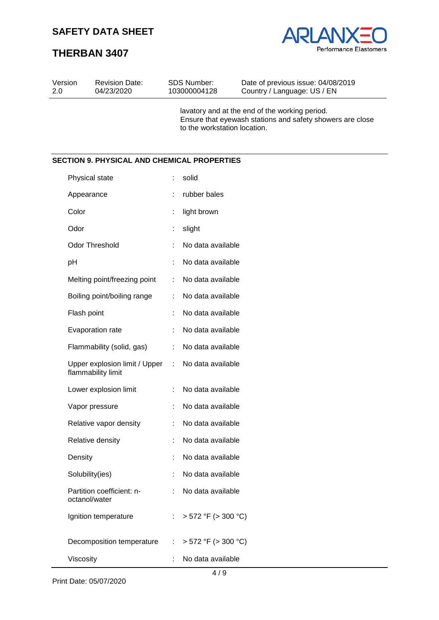Revision Date: 04/23/2020

SDS Number: 103000004128

# Performance Elastomers

Date of previous issue: 04/08/2019 Country / Language: US / EN

# **THERBAN 3407**

Version 2.0

|                                                     |   | lavatory and at the end of the working period.<br>Ensure that eyewash stations and safety showers are close<br>to the workstation location. |
|-----------------------------------------------------|---|---------------------------------------------------------------------------------------------------------------------------------------------|
| <b>SECTION 9. PHYSICAL AND CHEMICAL PROPERTIES</b>  |   |                                                                                                                                             |
| Physical state                                      | ÷ | solid                                                                                                                                       |
| Appearance                                          |   | rubber bales                                                                                                                                |
| Color                                               | ÷ | light brown                                                                                                                                 |
| Odor                                                |   | slight                                                                                                                                      |
| <b>Odor Threshold</b>                               | ÷ | No data available                                                                                                                           |
| pH                                                  |   | No data available                                                                                                                           |
| Melting point/freezing point                        | ÷ | No data available                                                                                                                           |
| Boiling point/boiling range                         | ÷ | No data available                                                                                                                           |
| Flash point                                         |   | No data available                                                                                                                           |
| Evaporation rate                                    |   | No data available                                                                                                                           |
| Flammability (solid, gas)                           | ÷ | No data available                                                                                                                           |
| Upper explosion limit / Upper<br>flammability limit | ÷ | No data available                                                                                                                           |
| Lower explosion limit                               | ÷ | No data available                                                                                                                           |
| Vapor pressure                                      |   | No data available                                                                                                                           |
| Relative vapor density                              |   | No data available                                                                                                                           |
| Relative density                                    |   | No data available                                                                                                                           |
| Density                                             |   | No data available                                                                                                                           |
| Solubility(ies)                                     |   | No data available                                                                                                                           |
| Partition coefficient: n-<br>octanol/water          | ÷ | No data available                                                                                                                           |
| Ignition temperature                                |   | $> 572$ °F ( $> 300$ °C)                                                                                                                    |
| Decomposition temperature                           | ÷ | $> 572$ °F ( $> 300$ °C)                                                                                                                    |
| Viscosity                                           | ÷ | No data available<br>4/9                                                                                                                    |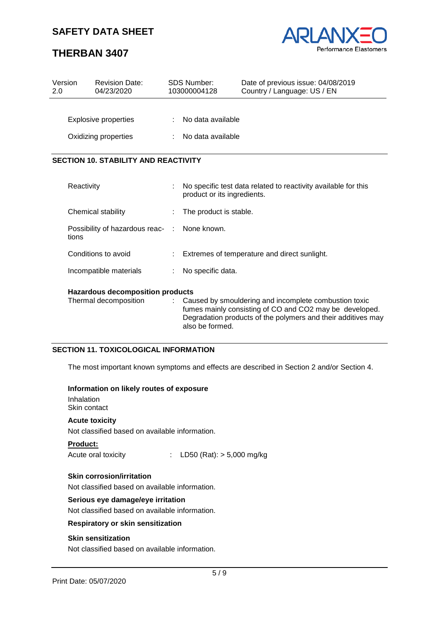# **THERBAN 3407**



| Version<br>2.0                               | <b>Revision Date:</b><br>04/23/2020 | <b>SDS Number:</b><br>103000004128 | Date of previous issue: 04/08/2019<br>Country / Language: US / EN |  |  |
|----------------------------------------------|-------------------------------------|------------------------------------|-------------------------------------------------------------------|--|--|
| <b>Explosive properties</b>                  |                                     | No data available                  |                                                                   |  |  |
| Oxidizing properties                         |                                     | No data available                  |                                                                   |  |  |
| <b>SECTION 10. STABILITY AND REACTIVITY</b>  |                                     |                                    |                                                                   |  |  |
| $D_{\mathcal{O}}$ $\sim$ $\sim$ $i$ $\cdots$ |                                     |                                    | No appoitin toot data related to repetivity ovailable for this    |  |  |

| Hozardous decempecities products                      |    |                                                                                                |  |  |
|-------------------------------------------------------|----|------------------------------------------------------------------------------------------------|--|--|
| Incompatible materials                                |    | No specific data.<br>÷.                                                                        |  |  |
| Conditions to avoid                                   | ÷. | Extremes of temperature and direct sunlight.                                                   |  |  |
| Possibility of hazardous reac- : None known.<br>tions |    |                                                                                                |  |  |
| Chemical stability                                    |    | : The product is stable.                                                                       |  |  |
| Reactivity                                            |    | The specific test data related to reactivity available for this<br>product or its ingredients. |  |  |

#### **Hazardous decomposition products**

| Thermal decomposition | : Caused by smouldering and incomplete combustion toxic      |
|-----------------------|--------------------------------------------------------------|
|                       | fumes mainly consisting of CO and CO2 may be developed.      |
|                       | Degradation products of the polymers and their additives may |
|                       | also be formed.                                              |

#### **SECTION 11. TOXICOLOGICAL INFORMATION**

The most important known symptoms and effects are described in Section 2 and/or Section 4.

#### **Information on likely routes of exposure**

Inhalation Skin contact

#### **Acute toxicity**

Not classified based on available information.

#### **Product:**

Acute oral toxicity : LD50 (Rat): > 5,000 mg/kg

#### **Skin corrosion/irritation**

Not classified based on available information.

#### **Serious eye damage/eye irritation**

Not classified based on available information.

#### **Respiratory or skin sensitization**

#### **Skin sensitization**

Not classified based on available information.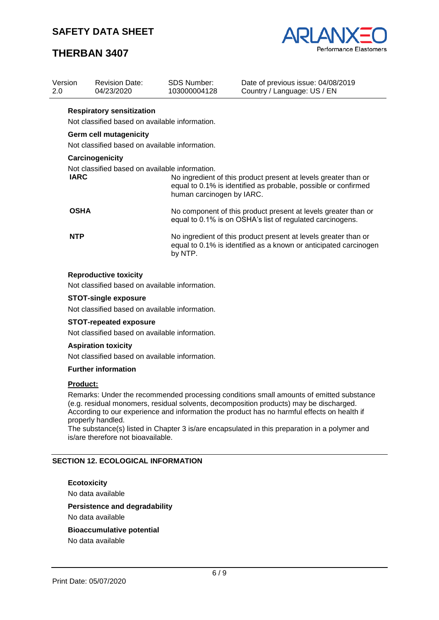# **THERBAN 3407**



| Version<br>2.0  |                                  | <b>Revision Date:</b><br>04/23/2020            | <b>SDS Number:</b><br>103000004128                                                                                          | Date of previous issue: 04/08/2019<br>Country / Language: US / EN                                                                   |  |
|-----------------|----------------------------------|------------------------------------------------|-----------------------------------------------------------------------------------------------------------------------------|-------------------------------------------------------------------------------------------------------------------------------------|--|
|                 | <b>Respiratory sensitization</b> |                                                |                                                                                                                             |                                                                                                                                     |  |
|                 |                                  | Not classified based on available information. |                                                                                                                             |                                                                                                                                     |  |
|                 |                                  | <b>Germ cell mutagenicity</b>                  |                                                                                                                             |                                                                                                                                     |  |
|                 |                                  | Not classified based on available information. |                                                                                                                             |                                                                                                                                     |  |
| Carcinogenicity |                                  |                                                |                                                                                                                             |                                                                                                                                     |  |
|                 | <b>IARC</b>                      | Not classified based on available information. | human carcinogen by IARC.                                                                                                   | No ingredient of this product present at levels greater than or<br>equal to 0.1% is identified as probable, possible or confirmed   |  |
|                 | <b>OSHA</b>                      |                                                | No component of this product present at levels greater than or<br>equal to 0.1% is on OSHA's list of regulated carcinogens. |                                                                                                                                     |  |
|                 | <b>NTP</b>                       |                                                | by NTP.                                                                                                                     | No ingredient of this product present at levels greater than or<br>equal to 0.1% is identified as a known or anticipated carcinogen |  |

#### **Reproductive toxicity**

Not classified based on available information.

#### **STOT-single exposure**

Not classified based on available information.

#### **STOT-repeated exposure**

Not classified based on available information.

#### **Aspiration toxicity**

Not classified based on available information.

#### **Further information**

#### **Product:**

Remarks: Under the recommended processing conditions small amounts of emitted substance (e.g. residual monomers, residual solvents, decomposition products) may be discharged. According to our experience and information the product has no harmful effects on health if properly handled.

The substance(s) listed in Chapter 3 is/are encapsulated in this preparation in a polymer and is/are therefore not bioavailable.

#### **SECTION 12. ECOLOGICAL INFORMATION**

#### **Ecotoxicity**

No data available

#### **Persistence and degradability**

No data available

# **Bioaccumulative potential**

No data available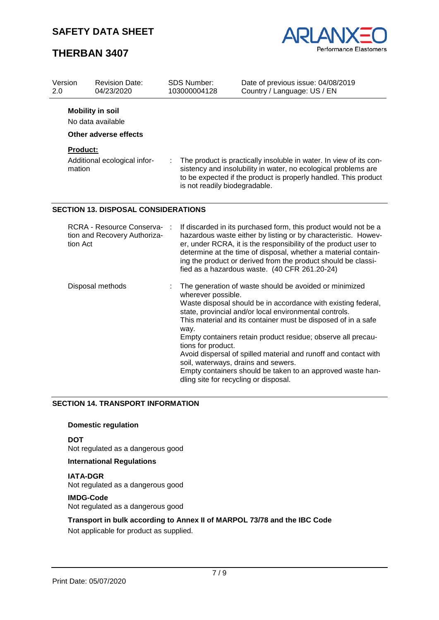# **THERBAN 3407**



| Version<br>2.0     | <b>Revision Date:</b><br>04/23/2020                                   |  | <b>SDS Number:</b><br>103000004128                                                                                                                                                                                                                                                                                                                                                       | Date of previous issue: 04/08/2019<br>Country / Language: US / EN                                                                                                                                                                                                                                                                                                                                                                                   |  |
|--------------------|-----------------------------------------------------------------------|--|------------------------------------------------------------------------------------------------------------------------------------------------------------------------------------------------------------------------------------------------------------------------------------------------------------------------------------------------------------------------------------------|-----------------------------------------------------------------------------------------------------------------------------------------------------------------------------------------------------------------------------------------------------------------------------------------------------------------------------------------------------------------------------------------------------------------------------------------------------|--|
|                    | <b>Mobility in soil</b><br>No data available                          |  |                                                                                                                                                                                                                                                                                                                                                                                          |                                                                                                                                                                                                                                                                                                                                                                                                                                                     |  |
|                    | Other adverse effects                                                 |  |                                                                                                                                                                                                                                                                                                                                                                                          |                                                                                                                                                                                                                                                                                                                                                                                                                                                     |  |
| Product:<br>mation | Additional ecological infor-                                          |  | is not readily biodegradable.                                                                                                                                                                                                                                                                                                                                                            | The product is practically insoluble in water. In view of its con-<br>sistency and insolubility in water, no ecological problems are<br>to be expected if the product is properly handled. This product                                                                                                                                                                                                                                             |  |
|                    | <b>SECTION 13. DISPOSAL CONSIDERATIONS</b>                            |  |                                                                                                                                                                                                                                                                                                                                                                                          |                                                                                                                                                                                                                                                                                                                                                                                                                                                     |  |
|                    | RCRA - Resource Conserva-<br>tion and Recovery Authoriza-<br>tion Act |  | If discarded in its purchased form, this product would not be a<br>hazardous waste either by listing or by characteristic. Howev-<br>er, under RCRA, it is the responsibility of the product user to<br>determine at the time of disposal, whether a material contain-<br>ing the product or derived from the product should be classi-<br>fied as a hazardous waste. (40 CFR 261.20-24) |                                                                                                                                                                                                                                                                                                                                                                                                                                                     |  |
|                    | Disposal methods                                                      |  | wherever possible.<br>way.<br>tions for product.<br>soil, waterways, drains and sewers.                                                                                                                                                                                                                                                                                                  | The generation of waste should be avoided or minimized<br>Waste disposal should be in accordance with existing federal,<br>state, provincial and/or local environmental controls.<br>This material and its container must be disposed of in a safe<br>Empty containers retain product residue; observe all precau-<br>Avoid dispersal of spilled material and runoff and contact with<br>Empty containers should be taken to an approved waste han- |  |

dling site for recycling or disposal.

#### **SECTION 14. TRANSPORT INFORMATION**

#### **Domestic regulation**

**DOT**

Not regulated as a dangerous good

#### **International Regulations**

**IATA-DGR** Not regulated as a dangerous good

## **IMDG-Code**

Not regulated as a dangerous good

## **Transport in bulk according to Annex II of MARPOL 73/78 and the IBC Code**

Not applicable for product as supplied.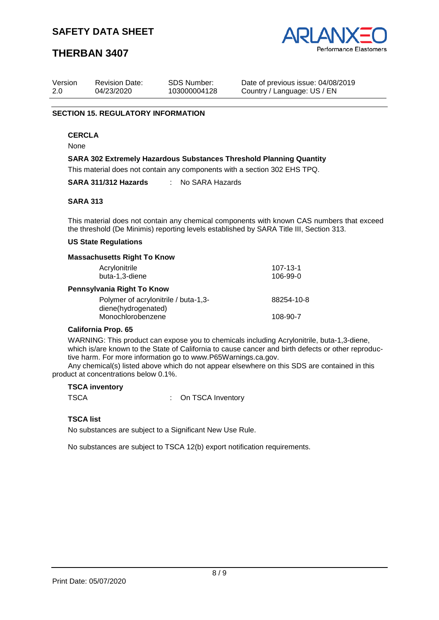

## **THERBAN 3407**

| Version | <b>Revision Date:</b> | SDS Number:  | Date of previous issue: 04/08/2019 |
|---------|-----------------------|--------------|------------------------------------|
| 2.0     | 04/23/2020            | 103000004128 | Country / Language: US / EN        |

#### **SECTION 15. REGULATORY INFORMATION**

#### **CERCLA**

None

#### **SARA 302 Extremely Hazardous Substances Threshold Planning Quantity**

This material does not contain any components with a section 302 EHS TPQ.

**SARA 311/312 Hazards** : No SARA Hazards

#### **SARA 313**

This material does not contain any chemical components with known CAS numbers that exceed the threshold (De Minimis) reporting levels established by SARA Title III, Section 313.

#### **US State Regulations**

#### **Massachusetts Right To Know**

| Acrylonitrile<br>buta-1,3-diene                             | 107-13-1<br>106-99-0 |  |  |  |
|-------------------------------------------------------------|----------------------|--|--|--|
| Pennsylvania Right To Know                                  |                      |  |  |  |
| Polymer of acrylonitrile / buta-1,3-<br>diene(hydrogenated) | 88254-10-8           |  |  |  |
| Monochlorobenzene                                           | 108-90-7             |  |  |  |
|                                                             |                      |  |  |  |

#### **California Prop. 65**

WARNING: This product can expose you to chemicals including Acrylonitrile, buta-1,3-diene, which is/are known to the State of California to cause cancer and birth defects or other reproductive harm. For more information go to www.P65Warnings.ca.gov.

Any chemical(s) listed above which do not appear elsewhere on this SDS are contained in this product at concentrations below 0.1%.

#### **TSCA inventory**

TSCA : On TSCA Inventory

#### **TSCA list**

No substances are subject to a Significant New Use Rule.

No substances are subject to TSCA 12(b) export notification requirements.